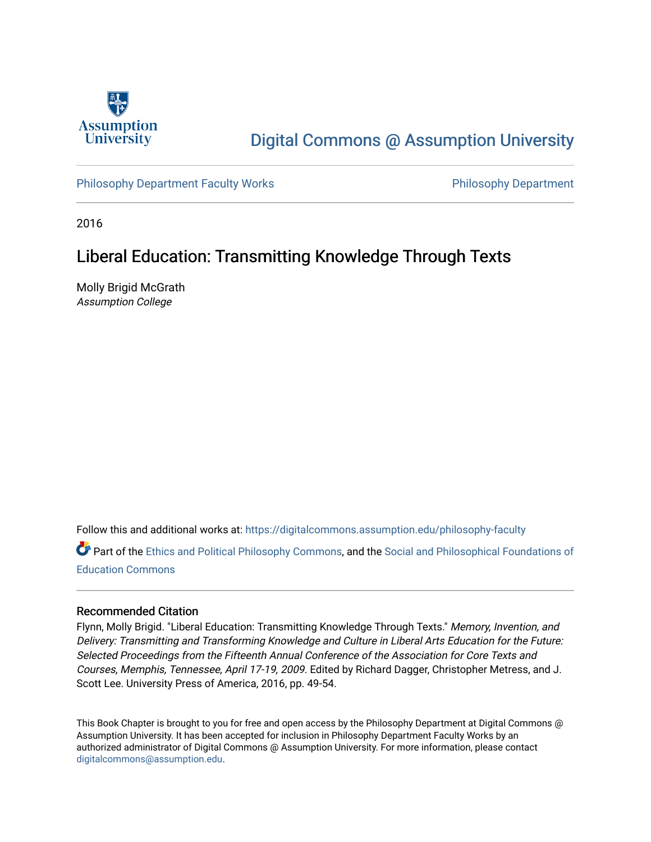

# [Digital Commons @ Assumption University](https://digitalcommons.assumption.edu/)

#### [Philosophy Department Faculty Works](https://digitalcommons.assumption.edu/philosophy-faculty) **Philosophy Department** Philosophy Department

2016

### Liberal Education: Transmitting Knowledge Through Texts

Molly Brigid McGrath Assumption College

Follow this and additional works at: [https://digitalcommons.assumption.edu/philosophy-faculty](https://digitalcommons.assumption.edu/philosophy-faculty?utm_source=digitalcommons.assumption.edu%2Fphilosophy-faculty%2F16&utm_medium=PDF&utm_campaign=PDFCoverPages) 

Part of the [Ethics and Political Philosophy Commons,](http://network.bepress.com/hgg/discipline/529?utm_source=digitalcommons.assumption.edu%2Fphilosophy-faculty%2F16&utm_medium=PDF&utm_campaign=PDFCoverPages) and the Social and Philosophical Foundations of [Education Commons](http://network.bepress.com/hgg/discipline/799?utm_source=digitalcommons.assumption.edu%2Fphilosophy-faculty%2F16&utm_medium=PDF&utm_campaign=PDFCoverPages) 

#### Recommended Citation

Flynn, Molly Brigid. "Liberal Education: Transmitting Knowledge Through Texts." Memory, Invention, and Delivery: Transmitting and Transforming Knowledge and Culture in Liberal Arts Education for the Future: Selected Proceedings from the Fifteenth Annual Conference of the Association for Core Texts and Courses, Memphis, Tennessee, April 17-19, 2009. Edited by Richard Dagger, Christopher Metress, and J. Scott Lee. University Press of America, 2016, pp. 49-54.

This Book Chapter is brought to you for free and open access by the Philosophy Department at Digital Commons @ Assumption University. It has been accepted for inclusion in Philosophy Department Faculty Works by an authorized administrator of Digital Commons @ Assumption University. For more information, please contact [digitalcommons@assumption.edu](mailto:digitalcommons@assumption.edu).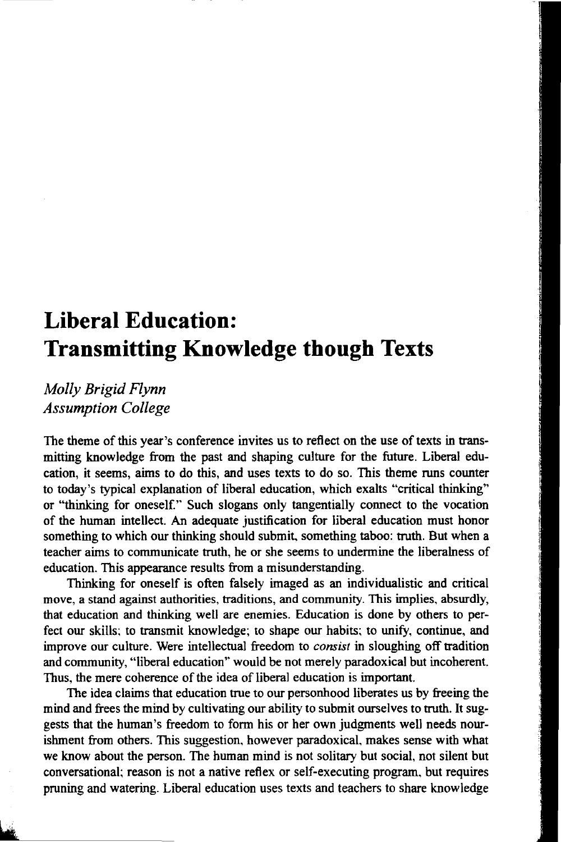## **Liberal Education: Transmitting Knowledge though Texts**

*Molly Brigid Flynn Assumption College* 

The theme of this year's conference invites us to reflect on the use of texts in transmitting knowledge from the past and shaping culture for the future. Liberal education, it seems, aims to do this, and uses texts to do so. This theme runs counter to today's typical explanation of liberal education, which exalts "critical thinking" or "thinking for oneself.'' Such slogans only tangentially connect to the vocation of the human intellect. An adequate justification for liberal education must honor something to which our thinking should submit. something taboo: truth. But when a teacher aims to communicate truth, he or she seems to undermine the liberalness of education. This appearance results from a misunderstanding.

Thinking for oneself is often falsely imaged as an individualistic and critical move, a stand against authorities, traditions, and community. This implies, absurdly, that education and thinking well are enemies. Education is done by others to perfect our skills; to transmit knowledge; to shape our habits; to unify, continue, and improve our culture. Were intellectual freedom to *consist* in sloughing off tradition and community, "liberal education'' would be not merely paradoxical but incoherent. Thus, the mere coherence of the idea of liberal education is important.

The idea claims that education true to our personhood liberates us by freeing the mind and frees the mind by cultivating our ability to submit ourselves to truth. It suggests that the human's freedom to form his or her own judgments well needs nourishment from others. This suggestion, however paradoxical, makes sense with what we know about the person. The human mind is not solitary but social, not silent but conversational; reason is not a native reflex or self-executing program. but requires pruning and watering. Liberal education uses texts and teachers to share knowledge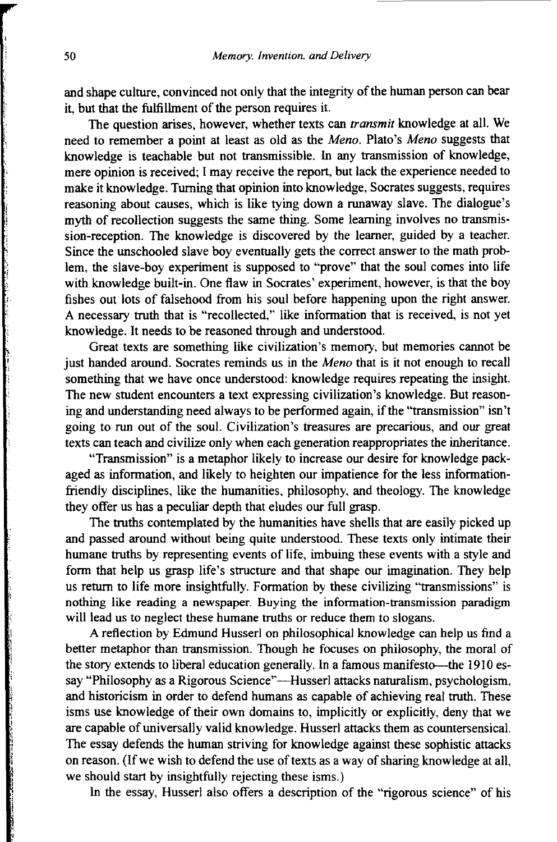and shape culture, convinced not only that the integrity of the hwnan person can bear it, but that the fulfillment of the person requires it.

The question arises, however, whether texts can *transmit* knowledge at all. We need to remember a point at least as old as the *Meno.* Plato's *Meno* suggests that knowledge is teachable but not transmissible. In any transmission of knowledge, mere opinion is received; I may receive the report, but lack the experience needed to make it knowledge. Turning that opinion into knowledge, Socrates suggests, requires reasoning about causes, which is like tying down a runaway slave. The dialogue's myth of recollection suggests the same thing. Some learning involves no transmission-reception. The knowledge is discovered by the learner, guided by a teacher. Since the unschooled slave boy eventually gets the correct answer to the math problem, the slave-boy experiment is supposed to "prove" that the soul comes into life with knowledge built-in. One flaw in Socrates' experiment, however, is that the boy fishes out lots of falsehood from his soul before happening upon the right answer. A necessary truth that is "recollected," like information that is received, is not yet knowledge. It needs to be reasoned through and understood.

Great texts are something like civilization's memory, but memories cannot be just handed around. Socrates reminds us in the *Meno* that is it not enough to recall something that we have once understood: knowledge requires repeating the insight. The new student encounters a text expressing civilization's knowledge. But reasoning and understanding need always to be performed again, if the "transmission" isn't going to run out of the soul. Civilization's treasures are precarious, and our great texts can teach and civilize only when each generation reappropriates the inheritance.

"Transmission" is a metaphor likely to increase our desire for knowledge packaged as information, and likely to heighten our impatience for the less informationfriendly disciplines, like the hwnanities, philosophy, and theology. The knowledge they offer us has a peculiar depth that eludes our full grasp.

The truths contemplated by the hwnanities have shells that are easily picked up and passed around without being quite understood. These texts only intimate their hwnane truths by representing events of life, imbuing these events with a style and form that help us grasp life's structure and that shape our imagination. They help us return to life more insightfully. Formation by these civilizing "transmissions" is nothing like reading a newspaper. Buying the information-transmission paradigm will lead us to neglect these humane truths or reduce them to slogans.

A reflection by Edmund Husserl on philosophical knowledge can help us find a better metaphor than transmission. Though he focuses on philosophy, the moral of the story extends to liberal education generally. In a famous manifesto-the 1910 essay "Philosophy as a Rigorous Science"—Husserl attacks naturalism, psychologism, and historicism in order to defend humans as capable of achieving real truth. These isms use knowledge of their own domains to, implicitly or explicitly, deny that we are capable of universally valid knowledge. Husserl attacks them as countersensical. The essay defends the hwnan striving for knowledge against these sophistic attacks on reason. (If we wish to defend the use of texts as a way of sharing knowledge at all, we should start by insightfully rejecting these isms.)

ln the essay, Husserl also offers a description of the "rigorous science" of his

在1942年1月1日,1月2日的20月22日,1955年1月1日,1952年1月1日,1952年1月1日,1952年1月1日,1952年1月1日,1952年1月1日,1952年1月1日,1952年1月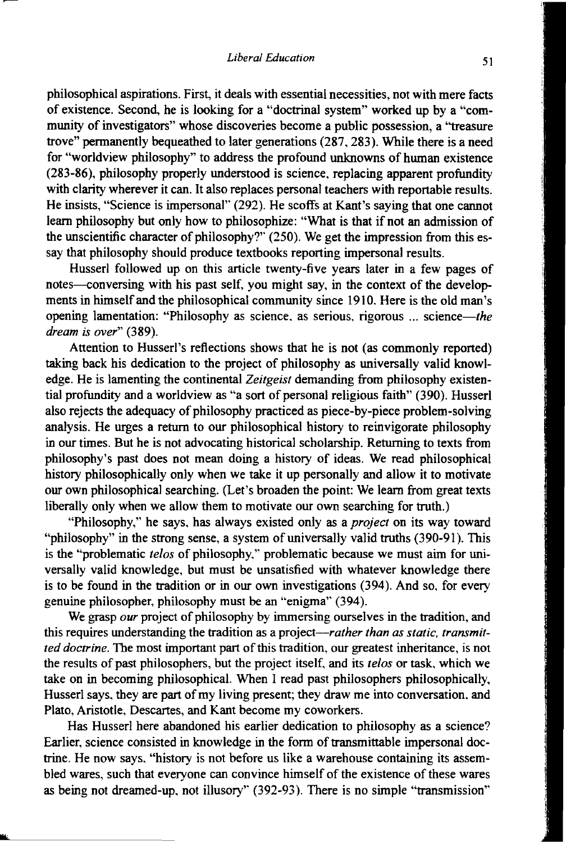philosophical aspirations. First, it deals with essential necessities, not with mere facts of existence. Second, he is looking for a "doctrinal system" worked up by a "community of investigators" whose discoveries become a public possession, a "treasure trove" permanently bequeathed to later generations (287, 283). While there is a need for "worldview philosophy" to address the profound unknowns of human existence (283-86), philosophy properly understood is science, replacing apparent profundity with clarity wherever it can. It also replaces personal teachers with reportable results. He insists, "Science is impersonal" (292). He scoffs at Kant's saying that one cannot learn philosophy but only how to philosophize: "What is that if not an admission of the unscientific character of philosophy?" (250). We get the impression from this essay that philosophy should produce textbooks reporting impersonal results.

Husserl followed up on this article twenty-five years later in a few pages of notes—conversing with his past self, you might say, in the context of the developments in himself and the philosophical community since 1910. Here is the old man's opening lamentation: "Philosophy as science, as serious, rigorous ... science-the *dream is over"* (389).

Attention to Husserl's reflections shows that he is not (as commonly reported) taking back his dedication to the project of philosophy as universally valid knowledge. He is lamenting the continental *Zeitgeist* demanding from philosophy existential profundity and a worldview as "a sort of personal religious faith" (390). Husserl also rejects the adequacy of philosophy practiced as piece-by-piece problem-solving analysis. He urges a return to our philosophical history to reinvigorate philosophy in our times. But he is not advocating historical scholarship. Returning to texts from philosophy's past does not mean doing a history of ideas. We read philosophical history philosophically only when we take it up personally and allow it to motivate our own philosophical searching. (Let's broaden the point: We learn from great texts liberally only when we allow them to motivate our own searching for truth.)

"Philosophy," he says, has always existed only as a *project* on its way toward "philosophy" in the strong sense, a system of universally valid truths (390-91). This is the "problematic *telos* of philosophy." problematic because we must aim for universally valid knowledge, but must be unsatisfied with whatever knowledge there is to be found in the tradition or in our own investigations (394). And so, for every genuine philosopher, philosophy must be an "enigma'' (394).

We grasp *our* project of philosophy by immersing ourselves in the tradition, and this requires understanding the tradition as a project--rather than as static, transmit*ted doctrine.* The most important part of this tradition, our greatest inheritance, is not the results of past philosophers, but the project itself, and its *telos* or task, which we take on in becoming philosophical. When I read past philosophers philosophically, Husserl says, they are part of my living present; they draw me into conversation. and Plato, Aristotle, Descartes, and Kant become my coworkers.

Has Husserl here abandoned his earlier dedication to philosophy as a science? Earlier, science consisted in knowledge in the form of transmittable impersonal doctrine. He now says, "history is not before us like a warehouse containing its assembled wares, such that everyone can convince himself of the existence of these wares as being not dreamed-up. not illusory'' (392-93). There is no simple "transmission"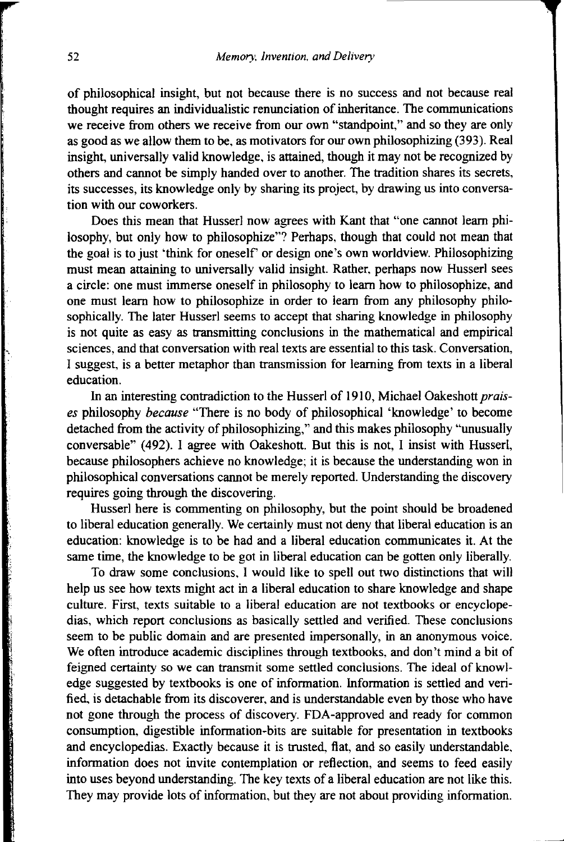of philosophical insight, but not because there is no success and not because real thought requires an individualistic renunciation of inheritance. The communications we receive from others we receive from our own "standpoint," and so they are only as good as we allow them to be, as motivators for our own philosophizing (393). Real insight, universally valid knowledge, is attained, though it may not be recognized by others and cannot be simply handed over to another. The tradition shares its secrets, its successes, its knowledge only by sharing its project, by drawing us into conversation with our coworkers.

Does this mean that Husserl now agrees with Kant that "one cannot learn philosophy, but only bow to philosophize"? Perhaps, though that could not mean that the goal is to just 'think for oneself' or design one's own worldview. Philosophizing must mean attaining to universally valid insight. Rather, perhaps now Husserl sees a circle: one must immerse oneself in philosophy to learn how to philosophize, and one must learn how to philosophize in order to learn from any philosophy philosophically. The later Husserl seems to accept that sharing knowledge in philosophy is not quite as easy as transmitting conclusions in the mathematical and empirical sciences, and that conversation with real texts are essential to this task. Conversation, I suggest, is a better metaphor than transmission for learning from texts in a liberal education.

In an interesting contradiction to the Husserl of 1910, Michael Oakeshott *praises* philosophy *because* "There is no body of philosophical 'knowledge' to become detached from the activity of philosophizing," and this makes philosophy "unusually conversable" (492). I agree with Oakeshott. But this is not, I insist with Husserl, because philosophers achieve no knowledge; it is because the understanding won in philosophical conversations cannot be merely reported. Understanding the discovery requires going through the discovering.

Husserl here is commenting on philosophy, but the point should be broadened to liberal education generally. We certainly must not deny that liberal education is an education: knowledge is to be had and a liberal education communicates it. At the same time, the knowledge to be got in liberal education can be gotten only liberally.

To draw some conclusions, I would like to spell out two distinctions that will help us see how texts might act in a liberal education to share knowledge and shape culture. First, texts suitable to a liberal education are not textbooks or encyclopedias, which report conclusions as basically settled and verified. These conclusions seem to be public domain and are presented impersonally, in an anonymous voice. We often introduce academic disciplines through textbooks, and don't mind a bit of feigned certainty so we can transmit some settled conclusions. The ideal of knowledge suggested by textbooks is one of information. Information is settled and verified, is detachable from its discoverer, and is understandable even by those who have not gone through the process of discovery. FDA-approved and ready for common consumption, digestible information-bits are suitable for presentation in textbooks and encyclopedias. Exactly because it is trusted, flat, and so easily understandable, information does not invite contemplation or reflection, and seems to feed easily into uses beyond understanding. The key texts of a liberal education are not like this. They may provide lots of information, but they are not about providing information.

...

*,i* 

i. i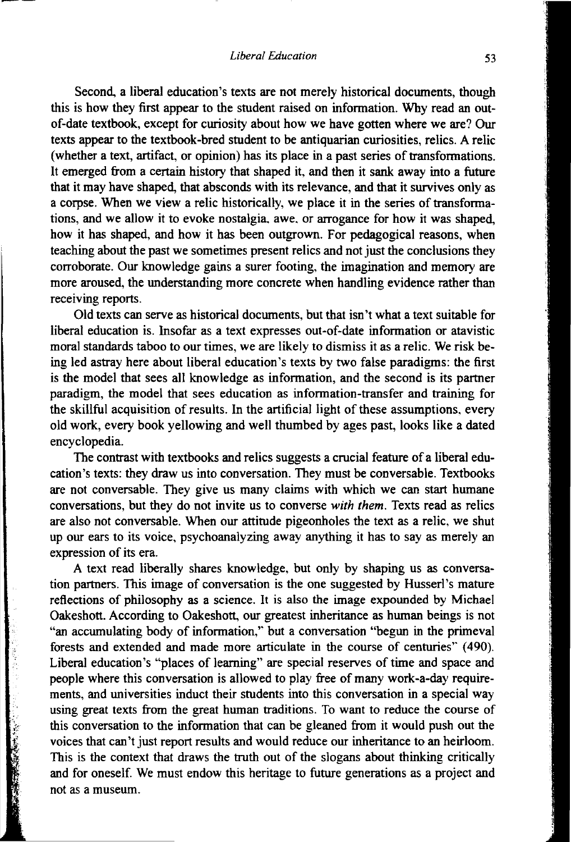Second, a liberal education's texts are not merely historical documents, though this is how they first appear to the student raised on information. Why read an outof-date textbook, except for curiosity about how we have gotten where we are? Our texts appear to the textbook-bred student to be antiquarian curiosities, relics. A relic (whether a text, artifact, or opinion) has its place in a past series of transformations. It emerged from a certain history that shaped it, and then it sank away into a future that it may have shaped, that absconds with its relevance, and that it survives only as a corpse. When we view a relic historically, we place it in the series of transformations, and we allow it to evoke nostalgia. awe. or arrogance for how it was shaped, how it has shaped, and how it has been outgrown. For pedagogical reasons, when teaching about the past we sometimes present relics and not just the conclusions they corroborate. Our knowledge gains a surer footing, the imagination and memory are more aroused, the understanding more concrete when handling evidence rather than receiving reports.

Old texts can serve as historical documents, but that isn't what a text suitable for liberal education is. Insofar as a text expresses out-of-date information or atavistic moral standards taboo to our times, we are likely to dismiss it as a relic. We risk being led astray here about liberal education's texts by two false paradigms: the first is the model that sees all knowledge as information, and the second is its partner paradigm, the model that sees education as information-transfer and training for the skillful acquisition of results. In the artificial light of these assumptions. every old work, every book yellowing and well thumbed by ages past, looks like a dated encyclopedia.

The contrast with textbooks and relics suggests a crucial feature of a liberal education's texts: they draw us into conversation. They must be conversable. Textbooks are not conversable. They give us many claims with which we can start humane conversations, but they do not invite us to converse *with them.* Texts read as relics are also not conversable. When our attitude pigeonholes the text as a relic, we shut up our ears to its voice, psychoanalyzing away anything it has to say as merely an expression of its era.

A text read liberally shares knowledge, but only by shaping us as conversation partners. This image of conversation is the one suggested by Husserl's mature reflections of philosophy as a science. It is also the image expounded by Michael Oakeshott. According to Oakeshott, our greatest inheritance as human beings is not "an accumulating body of information,'' but a conversation "begun in the primeval forests and extended and made more articulate in the course of centuries'' (490). Liberal education's "places of learning" are special reserves of time and space and people where this conversation is allowed to play free of many work-a-day requirements, and universities induct their students into this conversation in a special way using great texts from the great human traditions. To want to reduce the course of this conversation to the information that can be gleaned from it would push out the voices that can't just report results and would reduce our inheritance to an heirloom. This is the context that draws the truth out of the slogans about thinking critically and for oneself. We must endow this heritage to future generations as a project and not as a museum.